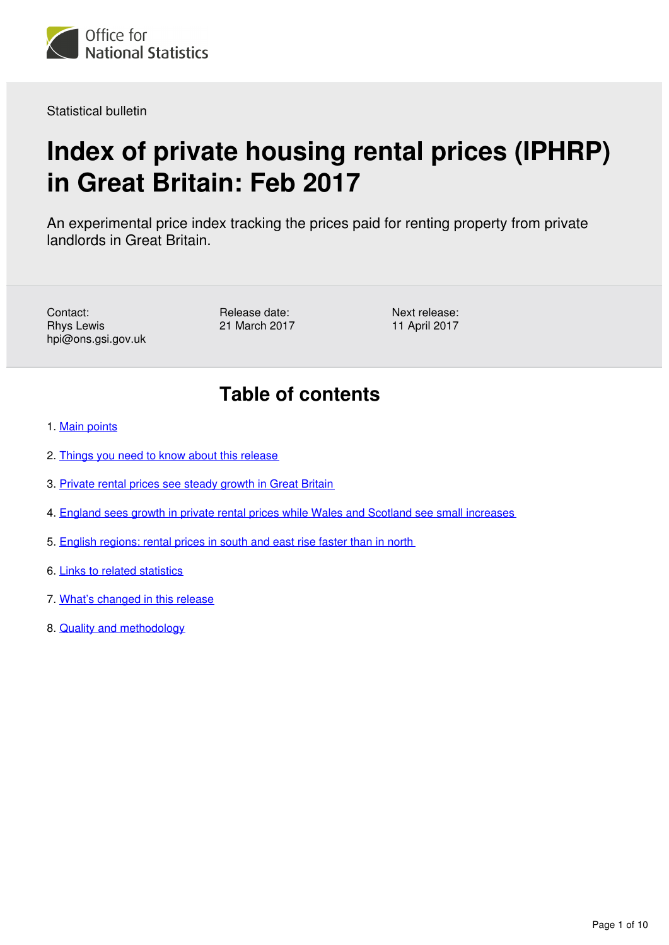

Statistical bulletin

# **Index of private housing rental prices (IPHRP) in Great Britain: Feb 2017**

An experimental price index tracking the prices paid for renting property from private landlords in Great Britain.

Contact: Rhys Lewis hpi@ons.gsi.gov.uk Release date: 21 March 2017 Next release: 11 April 2017

# **Table of contents**

- 1. [Main points](#page-1-0)
- 2. [Things you need to know about this release](#page-1-1)
- 3. [Private rental prices see steady growth in Great Britain](#page-1-2)
- 4. [England sees growth in private rental prices while Wales and Scotland see small increases](#page-3-0)
- 5. [English regions: rental prices in south and east rise faster than in north](#page-5-0)
- 6. [Links to related statistics](#page-7-0)
- 7. [What's changed in this release](#page-8-0)
- 8. [Quality and methodology](#page-8-1)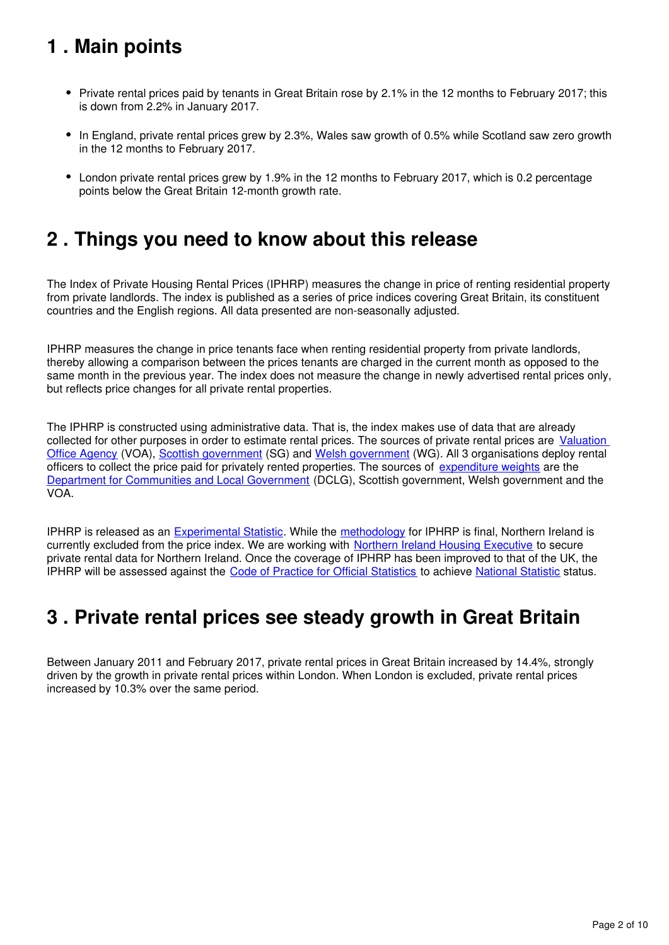# <span id="page-1-0"></span>**1 . Main points**

- Private rental prices paid by tenants in Great Britain rose by 2.1% in the 12 months to February 2017; this is down from 2.2% in January 2017.
- In England, private rental prices grew by 2.3%, Wales saw growth of 0.5% while Scotland saw zero growth in the 12 months to February 2017.
- London private rental prices grew by 1.9% in the 12 months to February 2017, which is 0.2 percentage points below the Great Britain 12-month growth rate.

## <span id="page-1-1"></span>**2 . Things you need to know about this release**

The Index of Private Housing Rental Prices (IPHRP) measures the change in price of renting residential property from private landlords. The index is published as a series of price indices covering Great Britain, its constituent countries and the English regions. All data presented are non-seasonally adjusted.

IPHRP measures the change in price tenants face when renting residential property from private landlords, thereby allowing a comparison between the prices tenants are charged in the current month as opposed to the same month in the previous year. The index does not measure the change in newly advertised rental prices only, but reflects price changes for all private rental properties.

The IPHRP is constructed using administrative data. That is, the index makes use of data that are already collected for other purposes in order to estimate rental prices. The sources of private rental prices are Valuation [Office Agency](https://www.gov.uk/government/organisations/valuation-office-agency) (VOA), [Scottish government](http://www.gov.scot/) (SG) and Welsh government (WG). All 3 organisations deploy rental officers to collect the price paid for privately rented properties. The sources of [expenditure weights](https://www.ons.gov.uk/economy/inflationandpriceindices/datasets/indexofprivatehousingrentalpricesweightsanalysis) are the [Department for Communities and Local Government](https://www.gov.uk/government/organisations/department-for-communities-and-local-government) (DCLG), Scottish government, Welsh government and the VOA.

IPHRP is released as an [Experimental Statistic](http://www.ons.gov.uk/methodology/methodologytopicsandstatisticalconcepts/guidetoexperimentalstatistics). While the methodology for IPHRP is final, Northern Ireland is currently excluded from the price index. We are working with [Northern Ireland Housing Executive](http://www.nihe.gov.uk/) to secure private rental data for Northern Ireland. Once the coverage of IPHRP has been improved to that of the UK, the IPHRP will be assessed against the [Code of Practice for Official Statistics](https://www.statisticsauthority.gov.uk/monitoring-and-assessment/code-of-practice/) toachieve National Statistic status.

## <span id="page-1-2"></span>**3 . Private rental prices see steady growth in Great Britain**

Between January 2011 and February 2017, private rental prices in Great Britain increased by 14.4%, strongly driven by the growth in private rental prices within London. When London is excluded, private rental prices increased by 10.3% over the same period.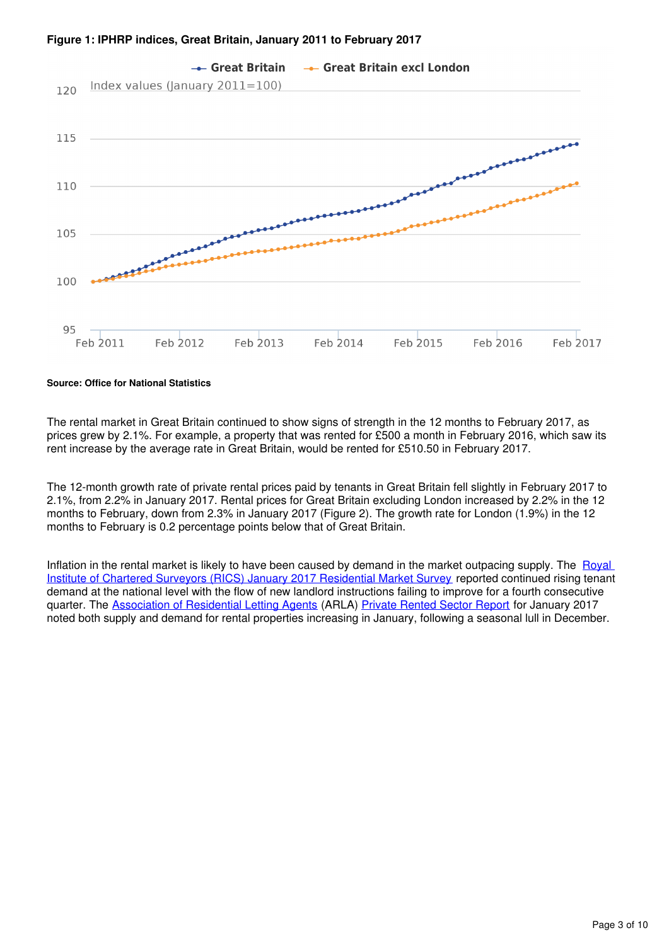



**Source: Office for National Statistics**

The rental market in Great Britain continued to show signs of strength in the 12 months to February 2017, as prices grew by 2.1%. For example, a property that was rented for £500 a month in February 2016, which saw its rent increase by the average rate in Great Britain, would be rented for £510.50 in February 2017.

The 12-month growth rate of private rental prices paid by tenants in Great Britain fell slightly in February 2017 to 2.1%, from 2.2% in January 2017. Rental prices for Great Britain excluding London increased by 2.2% in the 12 months to February, down from 2.3% in January 2017 (Figure 2). The growth rate for London (1.9%) in the 12 months to February is 0.2 percentage points below that of Great Britain.

Inflation in the rental market is likely to have been caused by demand in the market outpacing supply. The Royal [Institute of Chartered Surveyors \(RICS\) January 2017 Residential Market Survey](http://www.rics.org/uk/knowledge/market-analysis/rics-residential-market-survey/) reported continued rising tenant demand at the national level with the flow of new landlord instructions failing to improve for a fourth consecutive quarter. The [Association of Residential Letting Agents](http://www.arla.co.uk/) (ARLA) [Private Rented Sector Report](http://www.arla.co.uk/media/1045647/arla-prs-report-january-2017.pdf) for January 2017 noted both supply and demand for rental properties increasing in January, following a seasonal lull in December.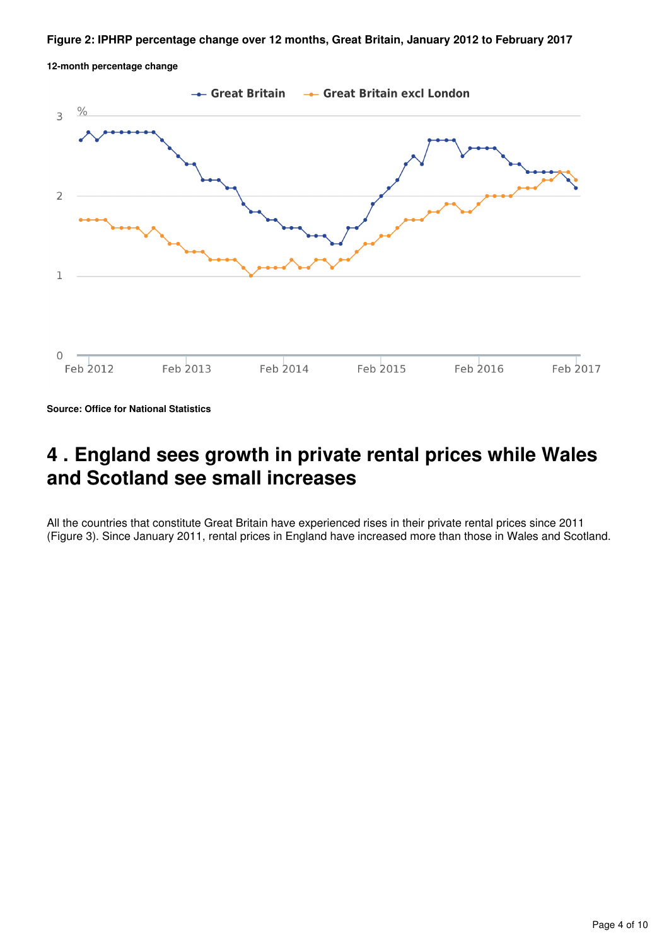#### **Figure 2: IPHRP percentage change over 12 months, Great Britain, January 2012 to February 2017**





**Source: Office for National Statistics**

#### <span id="page-3-0"></span>**4 . England sees growth in private rental prices while Wales and Scotland see small increases**

All the countries that constitute Great Britain have experienced rises in their private rental prices since 2011 (Figure 3). Since January 2011, rental prices in England have increased more than those in Wales and Scotland.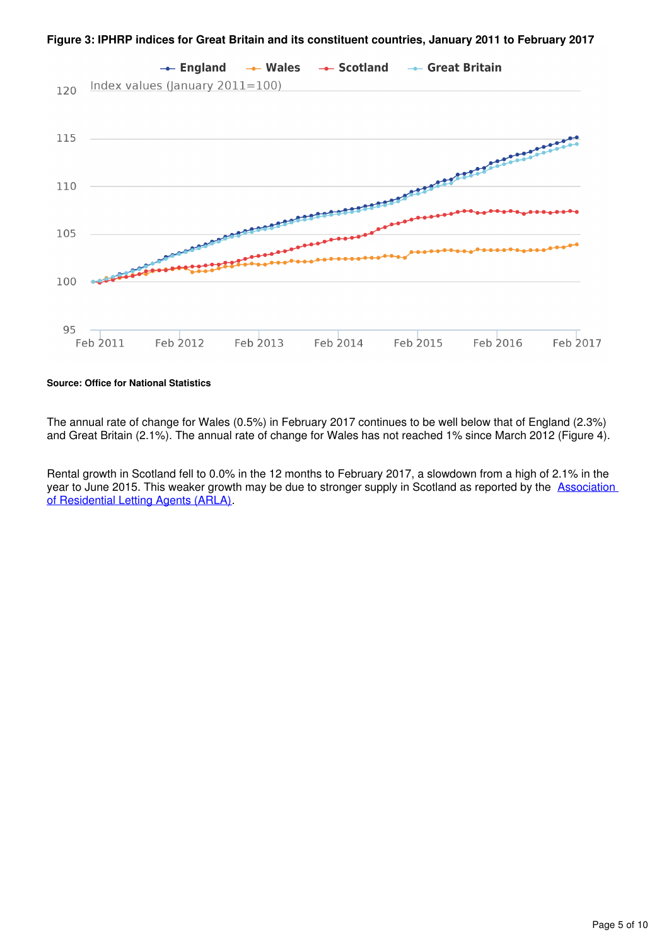

**Figure 3: IPHRP indices for Great Britain and its constituent countries, January 2011 to February 2017**

#### **Source: Office for National Statistics**

The annual rate of change for Wales (0.5%) in February 2017 continues to be well below that of England (2.3%) and Great Britain (2.1%). The annual rate of change for Wales has not reached 1% since March 2012 (Figure 4).

Rental growth in Scotland fell to 0.0% in the 12 months to February 2017, a slowdown from a high of 2.1% in the year to June 2015. This weaker growth may be due to stronger supply in Scotland as reported by the **Association** [of Residential Letting Agents \(ARLA\)](http://www.arla.co.uk/media/1045647/arla-prs-report-january-2017.pdf).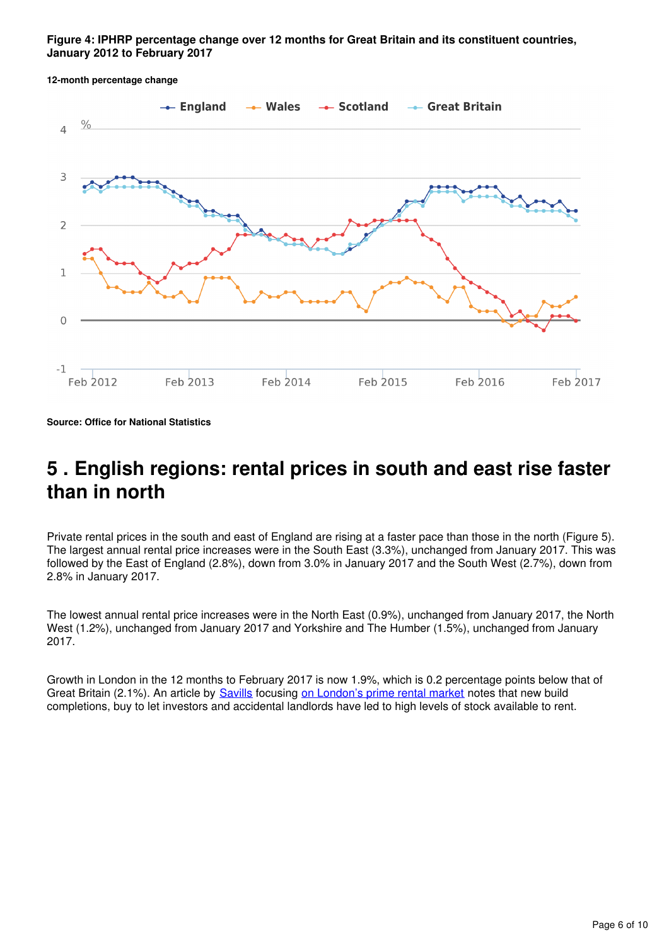#### **Figure 4: IPHRP percentage change over 12 months for Great Britain and its constituent countries, January 2012 to February 2017**

 $\leftarrow$  England  $\leftarrow$  Wales  $\rightarrow$  Scotland - Great Britain  $\frac{0}{0}$  $\overline{4}$ 3  $\overline{2}$  $\mathbf{1}$  $\cap$  $-1$ Feb 2012 Feb 2013 Feb 2014 Feb 2015 Feb 2016 Feb 2017

**12-month percentage change**

**Source: Office for National Statistics**

### <span id="page-5-0"></span>**5 . English regions: rental prices in south and east rise faster than in north**

Private rental prices in the south and east of England are rising at a faster pace than those in the north (Figure 5). The largest annual rental price increases were in the South East (3.3%), unchanged from January 2017. This was followed by the East of England (2.8%), down from 3.0% in January 2017 and the South West (2.7%), down from 2.8% in January 2017.

The lowest annual rental price increases were in the North East (0.9%), unchanged from January 2017, the North West (1.2%), unchanged from January 2017 and Yorkshire and The Humber (1.5%), unchanged from January 2017.

Growth in London in the 12 months to February 2017 is now 1.9%, which is 0.2 percentage points below that of GreatBritain (2.1%). An article by **[Savills](http://www.savills.co.uk/)** focusing on London's prime rental market notes that new build completions, buy to let investors and accidental landlords have led to high levels of stock available to rent.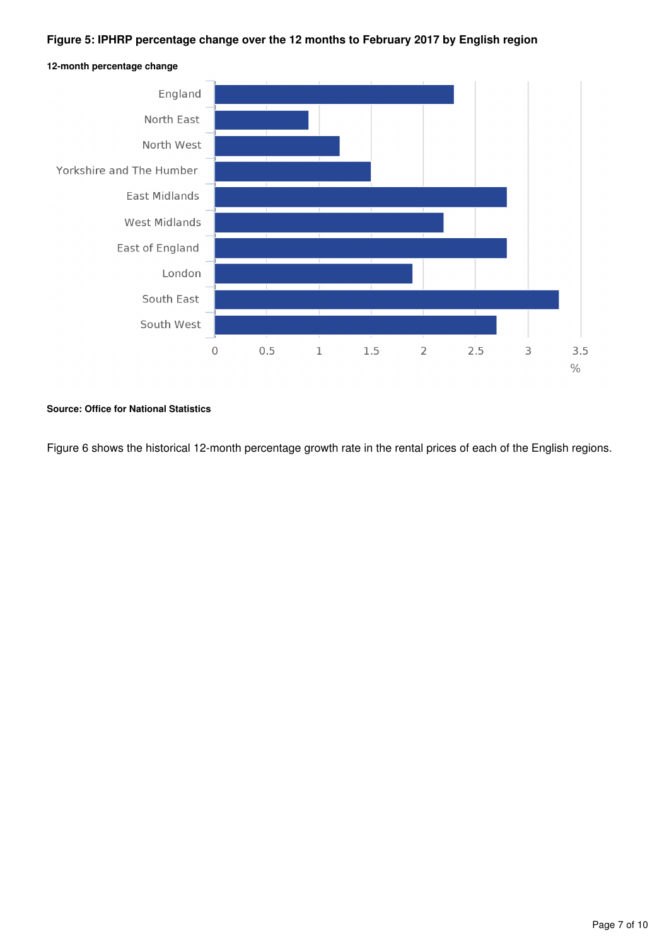#### **Figure 5: IPHRP percentage change over the 12 months to February 2017 by English region**



**12-month percentage change**

#### **Source: Office for National Statistics**

Figure 6 shows the historical 12-month percentage growth rate in the rental prices of each of the English regions.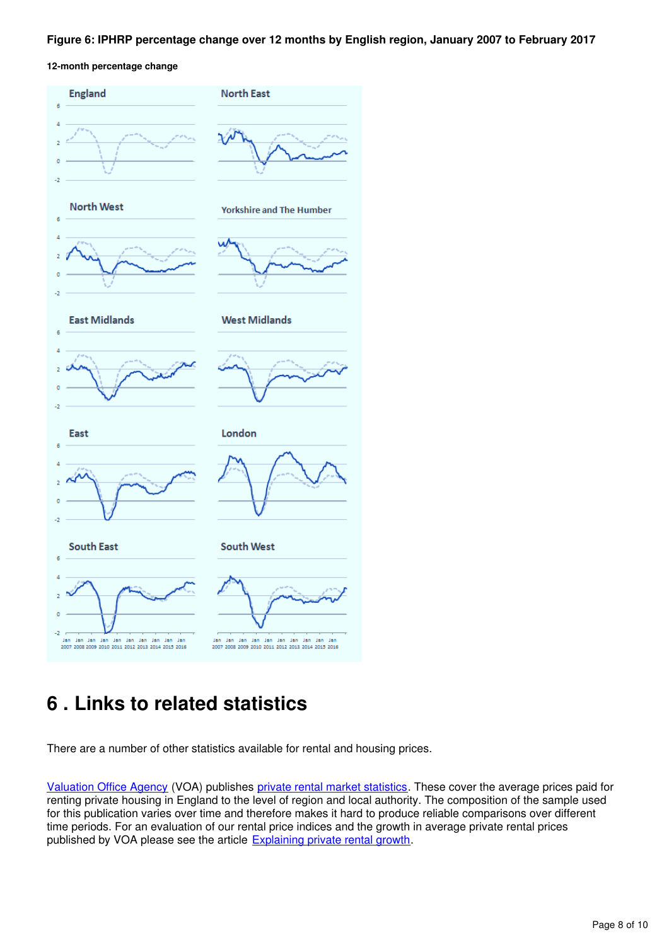#### **Figure 6: IPHRP percentage change over 12 months by English region, January 2007 to February 2017**

**12-month percentage change**



## <span id="page-7-0"></span>**6 . Links to related statistics**

There are a number of other statistics available for rental and housing prices.

[Valuation Office Agency](http://www.voa.gov.uk/) (VOA) publishes [private rental market statistics](http://www.voa.gov.uk/corporate/statisticalReleases/PrivateRentalMarketStatistics.html). These cover the average prices paid for renting private housing in England to the level of region and local authority. The composition of the sample used for this publication varies over time and therefore makes it hard to produce reliable comparisons over different time periods. For an evaluation of our rental price indices and the growth in average private rental prices published by VOA please see the article **Explaining private rental growth**[.](http://www.ons.gov.uk/ons/guide-method/user-guidance/prices/cpi-and-rpi/explaining-private-rental-growth.pdf)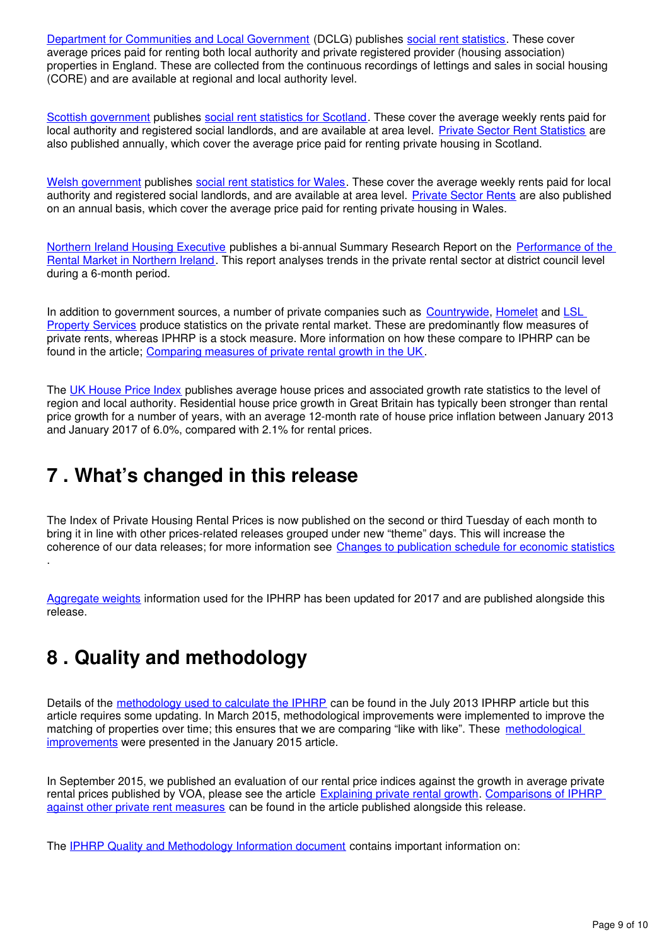[Department for Communities and Local Government](https://www.gov.uk/government/organisations/department-for-communities-and-local-government) (DCLG) publishes [social rent statistics](https://www.gov.uk/government/organisations/department-for-communities-and-local-government/series/rents-lettings-and-tenancies). These cover average prices paid for renting both local authority and private registered provider (housing association) properties in England. These are collected from the continuous recordings of lettings and sales in social housing (CORE) and are available at regional and local authority level.

[Scottish government](http://home.scotland.gov.uk/home) publishes[social rent statistics for Scotland](http://www.scotland.gov.uk/Topics/Statistics/Browse/Housing-Regeneration/HSfS/socialhousing). These cover the average weekly rents paid for local authority and registered social landlords, and are available at area level. [Private Sector Rent Statistics](http://www.gov.scot/Publications/2015/11/3376) are also published annually, which cover the average price paid for renting private housing in Scotland.

[Welsh government](http://wales.gov.uk/) publishes [social rent statistics for Wales](https://statswales.wales.gov.uk/Catalogue/Housing/Social-Housing-Stock-and-Rents). These cover the average weekly rents paid for local authority and registered social landlords, and are available at area level. [Private Sector Rents](http://gov.wales/statistics-and-research/private-sector-rents/?lang=en) are also published on an annual basis, which cover the average price paid for renting private housing in Wales.

[Northern Ireland Housing Executive](http://www.nihe.gov.uk/) publishes a bi-annual Summary Research Report on the [Performance of the](http://www.nihe.gov.uk/index/corporate/housing_research/completed/private_rented_sector_and_rents.htm)  [Rental Market in Northern Ireland.](http://www.nihe.gov.uk/index/corporate/housing_research/completed/private_rented_sector_and_rents.htm) This report analyses trends in the private rental sector at district council level during a 6-month period.

In addition to government sources[,](http://www.countrywide.co.uk/news/countrywide-monthly-lettings-index-jan-2016/)a number of private companies such as [Countrywide](http://www.countrywide.co.uk/news/countrywide-monthly-lettings-index-jan-2016/), Homelet and LSL [Property Services](http://www.lslps.co.uk/news/market-intelligence) produce statistics on the private rental market. These are predominantly flow measures of private rents, whereas IPHRP is a stock measure. More information on how these compare to IPHRP can be found in the article; [Comparing measures of private rental growth in the UK.](https://www.ons.gov.uk/economy/inflationandpriceindices/articles/comparingmeasuresofprivaterentalgrowthintheuk/previousReleases)

The [UK House Price Index](http://landregistry.data.gov.uk/app/ukhpi) publishes average house prices and associated growth rate statistics to the level of region and local authority. Residential house price growth in Great Britain has typically been stronger than rental price growth for a number of years, with an average 12-month rate of house price inflation between January 2013 and January 2017 of 6.0%, compared with 2.1% for rental prices.

## <span id="page-8-0"></span>**7 . What's changed in this release**

The Index of Private Housing Rental Prices is now published on the second or third Tuesday of each month to bring it in line with other prices-related releases grouped under new "theme" days. This will increase the coherence of our data releases; for more information see [Changes to publication schedule for economic statistics](https://www.ons.gov.uk/news/news/changestopublicationscheduleforeconomicstatistics)

[Aggregate weights](https://www.ons.gov.uk/economy/inflationandpriceindices/datasets/indexofprivatehousingrentalpricesweightsanalysis) information used for the IPHRP has been updated for 2017 and are published alongside this release.

## <span id="page-8-1"></span>**8 . Quality and methodology**

.

Details of the [methodology used to calculate the IPHRP](http://webarchive.nationalarchives.gov.uk/20160105160709/http:/www.ons.gov.uk/ons/rel/hpi/index-of-private-housing-rental-prices/historical-series/iphrp-article.html) can be found in the July 2013 IPHRP article but this article requires some updating. In March 2015, methodological improvements were implemented to improve the matching of properties over time; this ensures that we are comparing "like with like". These methodological [improvements](http://webarchive.nationalarchives.gov.uk/20160105160709/http:/www.ons.gov.uk/ons/guide-method/user-guidance/prices/cpi-and-rpi/index.html) were presented in the January 2015 article.

In September 2015, we published an evaluation of our rental price indices against the growth in average private rental prices published by VOA, please see the article [Explaining private rental growth](http://webarchive.nationalarchives.gov.uk/20160105160709/http:/www.ons.gov.uk/ons/guide-method/user-guidance/prices/cpi-and-rpi/explaining-private-rental-growth.pdf). Comparisons of IPHRP [against other private rent measures](https://www.ons.gov.uk/releases/comparingmeasuresofprivaterentalgrowthintheukquarter1jantomar2017) can be found in the article published alongside this release.

The [IPHRP Quality and Methodology Information document](http://www.ons.gov.uk/economy/inflationandpriceindices/qmis/indexofprivatehousingrentalpricesqmi) contains important information on: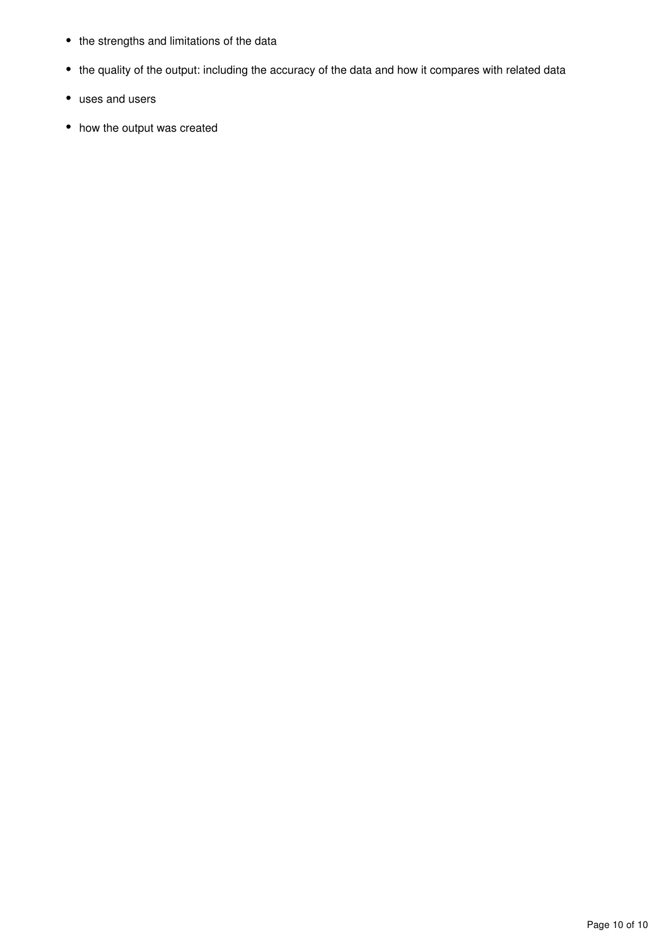- the strengths and limitations of the data
- the quality of the output: including the accuracy of the data and how it compares with related data
- uses and users
- how the output was created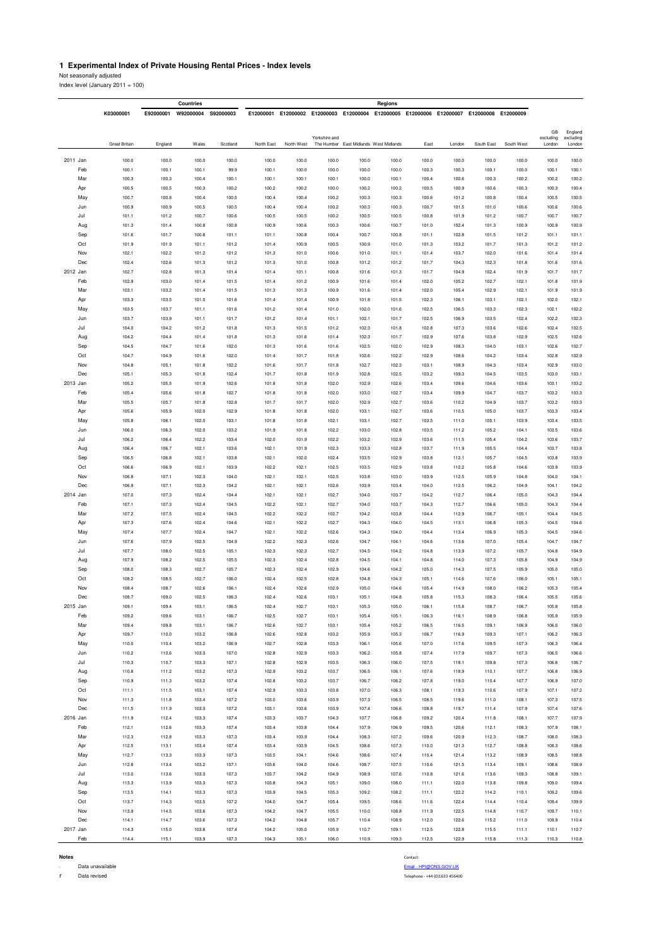#### **1 Experimental Index of Private Housing Rental Prices - Index levels**

Not seasonally adjusted

| Index level (January $2011 = 100$ ) |  |  |  |
|-------------------------------------|--|--|--|
|-------------------------------------|--|--|--|

|          |                      |           | Countries |           |            |            |               |                                        | Regions |                                                                                 |        |            |            |                     |                     |
|----------|----------------------|-----------|-----------|-----------|------------|------------|---------------|----------------------------------------|---------|---------------------------------------------------------------------------------|--------|------------|------------|---------------------|---------------------|
|          | K03000001            | E92000001 | W92000004 | S92000003 |            |            |               |                                        |         | E12000001 E12000002 E12000003 E12000004 E12000005 E12000006 E12000007 E12000008 |        |            | E12000009  |                     |                     |
|          |                      |           |           |           |            |            |               |                                        |         |                                                                                 |        |            |            |                     |                     |
|          |                      |           |           |           |            |            |               |                                        |         |                                                                                 |        |            |            | GB                  | England             |
|          | <b>Great Britain</b> | England   | Wales     | Scotland  | North East | North West | Yorkshire and | The Humber East Midlands West Midlands |         | East                                                                            | London | South East | South West | excluding<br>London | excluding<br>London |
|          |                      |           |           |           |            |            |               |                                        |         |                                                                                 |        |            |            |                     |                     |
| 2011 Jan | 100.0                | 100.0     | 100.0     | 100.0     | 100.0      | 100.0      | 100.0         | 100.0                                  | 100.0   | 100.0                                                                           | 100.0  | 100.0      | 100.0      | 100.0               | 100.0               |
| Feb      | 100.1                | 100.1     | 100.1     | 99.9      | 100.1      | 100.0      | 100.0         | 100.0                                  | 100.0   | 100.3                                                                           | 100.3  | 100.1      | 100.0      | 100.1               | 100.1               |
| Mar      | 100.3                | 100.3     | 100.4     | 100.1     | 100.1      | 100.1      | 100.1         | 100.0                                  | 100.1   | 100.4                                                                           | 100.6  | 100.3      | 100.2      | 100.2               | 100.2               |
| Apr      | 100.5                | 100.5     | 100.3     | 100.2     | 100.2      | 100.2      | 100.0         | 100.2                                  | 100.2   | 100.5                                                                           | 100.9  | 100.6      | 100.3      | 100.3               | 100.4               |
| May      | 100.7                | 100.8     | 100.4     | 100.5     | 100.4      | 100.4      | 100.2         | 100.3                                  | 100.3   | 100.6                                                                           | 101.2  | 100.8      | 100.4      | 100.5               | 100.5               |
| Jun      | 100.9                | 100.9     | 100.5     | 100.5     | 100.4      | 100.4      | 100.2         | 100.3                                  | 100.3   | 100.7                                                                           | 101.5  | 101.0      | 100.6      | 100.6               | 100.6               |
| Jul      | 101.1                | 101.2     | 100.7     | 100.6     | 100.5      | 100.5      | 100.2         | 100.5                                  | 100.5   | 100.8                                                                           | 101.9  | 101.2      | 100.7      | 100.7               | 100.7               |
| Aug      | 101.3                | 101.4     | 100.8     | 100.8     | 100.9      | 100.6      | 100.3         | 100.6                                  | 100.7   | 101.0                                                                           | 102.4  | 101.3      | 100.9      | 100.9               | 100.9               |
| Sep      | 101.6                | 101.7     | 100.8     | 101.1     | 101.1      | 100.8      | 100.4         | 100.7                                  | 100.8   | 101.1                                                                           | 102.8  | 101.5      | 101.2      | 101.1               | 101.1               |
| Oct      | 101.9                | 101.9     | 101.1     | 101.2     | 101.4      | 100.9      | 100.5         | 100.9                                  | 101.0   | 101.3                                                                           | 103.2  | 101.7      | 101.3      | 101.2               | 101.2               |
| Nov      | 102.1                | 102.2     | 101.2     | 101.2     | 101.3      | 101.0      | 100.6         | 101.0                                  | 101.1   | 101.4                                                                           | 103.7  | 102.0      | 101.6      | 101.4               | 101.4               |
| Dec      | 102.4                | 102.6     | 101.3     | 101.2     | 101.3      | 101.0      | 100.8         | 101.2                                  | 101.2   | 101.7                                                                           | 104.3  | 102.3      | 101.8      | 101.6               | 101.6               |
| 2012 Jan | 102.7                | 102.8     | 101.3     | 101.4     | 101.4      | 101.1      | 100.8         | 101.6                                  | 101.3   | 101.7                                                                           | 104.9  | 102.4      | 101.9      | 101.7               | 101.7               |
| Feb      | 102.9                | 103.0     | 101.4     | 101.5     | 101.4      | 101.2      | 100.9         | 101.6                                  | 101.4   | 102.0                                                                           | 105.2  | 102.7      | 102.1      | 101.8               | 101.9               |
| Mar      | 103.1                | 103.2     | 101.4     | 101.5     | 101.3      | 101.3      | 100.9         | 101.6                                  | 101.4   | 102.0                                                                           | 105.4  | 102.9      | 102.1      | 101.9               | 101.9               |
| Apr      | 103.3                | 103.5     | 101.0     | 101.6     | 101.4      | 101.4      | 100.9         | 101.8                                  | 101.5   | 102.3                                                                           | 106.1  | 103.1      | 102.1      | 102.0               | 102.1               |
| May      | 103.5                | 103.7     | 101.1     | 101.6     | 101.2      | 101.4      | 101.0         | 102.0                                  | 101.6   | 102.5                                                                           | 106.5  | 103.3      | 102.3      | 102.1               | 102.2               |
| Jun      | 103.7                | 103.9     | 101.1     | 101.7     | 101.2      | 101.4      | 101.1         | 102.1                                  | 101.7   | 102.5                                                                           | 106.9  | 103.5      | 102.4      | 102.2               | 102.3               |
| Jul      | 104.0                | 104.2     | 101.2     | 101.8     | 101.3      | 101.5      | 101.2         | 102.3                                  | 101.8   | 102.8                                                                           | 107.3  | 103.6      | 102.6      | 102.4               | 102.5               |
| Aug      | 104.2                | 104.4     | 101.4     | 101.8     | 101.3      | 101.6      | 101.4         | 102.3                                  | 101.7   | 102.9                                                                           | 107.6  | 103.8      | 102.9      | 102.5               | 102.6               |
| Sep      | 104.5                | 104.7     | 101.6     | 102.0     | 101.3      | 101.6      | 101.6         | 102.5                                  | 102.0   | 102.9                                                                           | 108.3  | 104.0      | 103.1      | 102.6               | 102.7               |
| Oct      | 104.7                | 104.9     | 101.6     | 102.0     | 101.4      | 101.7      | 101.8         | 102.6                                  | 102.2   | 102.9                                                                           | 108.6  | 104.2      | 103.4      | 102.8               | 102.9               |
| Nov      | 104.8                | 105.1     | 101.8     | 102.2     | 101.6      | 101.7      | 101.8         | 102.7                                  | 102.3   | 103.1                                                                           | 108.9  | 104.3      | 103.4      | 102.9               | 103.0               |
| Dec      | 105.1                | 105.3     | 101.8     | 102.4     | 101.7      | 101.8      | 101.9         | 102.8                                  | 102.5   | 103.2                                                                           | 109.3  | 104.5      | 103.5      | 103.0               | 103.1               |
| 2013 Jan | 105.2                | 105.5     | 101.9     | 102.6     | 101.8      | 101.8      | 102.0         | 102.9                                  | 102.6   | 103.4                                                                           | 109.6  | 104.6      | 103.6      | 103.1               | 103.2               |
| Feb      | 105.4                | 105.6     | 101.8     | 102.7     | 101.8      | 101.8      | 102.0         | 103.0                                  | 102.7   | 103.4                                                                           | 109.9  | 104.7      | 103.7      | 103.2               | 103.3               |
| Mar      | 105.5                | 105.7     | 101.8     | 102.8     | 101.7      | 101.7      | 102.0         | 102.9                                  | 102.7   | 103.6                                                                           | 110.2  | 104.9      | 103.7      | 103.2               | 103.3               |
| Apr      | 105.6                | 105.9     | 102.0     | 102.9     | 101.8      | 101.8      | 102.0         | 103.1                                  | 102.7   | 103.6                                                                           | 110.5  | 105.0      | 103.7      | 103.3               | 103.4               |
| May      | 105.8                | 106.1     | 102.0     | 103.1     | 101.8      | 101.8      | 102.1         | 103.1                                  | 102.7   | 103.5                                                                           | 111.0  | 105.1      | 103.9      | 103.4               | 103.5               |
| Jun      | 106.0                | 106.3     | 102.0     | 103.2     | 101.9      | 101.8      | 102.2         | 103.0                                  | 102.8   | 103.5                                                                           | 111.2  | 105.2      | 104.1      | 103.5               | 103.6               |
| Jul      | 106.2                | 106.4     | 102.2     | 103.4     | 102.0      | 101.9      | 102.2         | 103.2                                  | 102.9   | 103.6                                                                           | 111.5  | 105.4      | 104.2      | 103.6               | 103.7               |
| Aug      | 106.4                | 106.7     | 102.1     | 103.6     | 102.1      | 101.9      | 102.3         | 103.3                                  | 102.8   | 103.7                                                                           | 111.9  | 105.5      | 104.4      | 103.7               | 103.8               |
| Sep      | 106.5                | 106.8     | 102.1     | 103.8     | 102.1      | 102.0      | 102.4         | 103.5                                  | 102.9   | 103.8                                                                           | 112.1  | 105.7      | 104.5      | 103.8               | 103.9               |
| Oct      | 106.6                | 106.9     | 102.1     | 103.9     | 102.2      | 102.1      | 102.5         | 103.5                                  | 102.9   | 103.8                                                                           | 112.2  | 105.8      | 104.6      | 103.9               | 103.9               |
| Nov      | 106.8                | 107.1     | 102.3     | 104.0     | 102.1      | 102.1      | 102.5         | 103.8                                  | 103.0   | 103.9                                                                           | 112.5  | 105.9      | 104.8      | 104.0               | 104.1               |
| Dec      | 106.9                | 107.1     | 102.3     | 104.2     | 102.1      | 102.1      | 102.6         | 103.9                                  | 103.4   | 104.0                                                                           | 112.5  | 106.2      | 104.9      | 104.1               | 104.2               |
| 2014 Jan | 107.0                | 107.3     | 102.4     | 104.4     | 102.1      | 102.1      | 102.7         | 104.0                                  | 103.7   | 104.2                                                                           | 112.7  | 106.4      | 105.0      | 104.3               | 104.4               |
| Feb      | 107.1                | 107.3     | 102.4     | 104.5     | 102.2      | 102.1      | 102.7         | 104.0                                  | 103.7   | 104.3                                                                           | 112.7  | 106.6      | 105.0      | 104.3               | 104.4               |
| Mar      | 107.2                | 107.5     | 102.4     | 104.5     | 102.2      | 102.2      | 102.7         | 104.2                                  | 103.8   | 104.4                                                                           | 112.9  | 106.7      | 105.1      | 104.4               | 104.5               |
| Apr      | 107.3                | 107.6     | 102.4     | 104.6     | 102.1      | 102.2      | 102.7         | 104.3                                  | 104.0   | 104.5                                                                           | 113.1  | 106.8      | 105.3      | 104.5               | 104.6               |
| May      | 107.4                | 107.7     | 102.4     | 104.7     | 102.1      | 102.2      | 102.6         | 104.3                                  | 104.0   | 104.4                                                                           | 113.4  | 106.9      | 105.3      | 104.5               | 104.6               |
| Jun      | 107.6                | 107.9     | 102.5     | 104.9     | 102.2      | 102.3      | 102.6         | 104.7                                  | 104.1   | 104.6                                                                           | 113.6  | 107.0      | 105.4      | 104.7               | 104.7               |
| Jul      | 107.7                | 108.0     | 102.5     | 105.1     | 102.3      | 102.3      | 102.7         | 104.5                                  | 104.2   | 104.8                                                                           | 113.9  | 107.2      | 105.7      | 104.8               | 104.9               |
| Aug      | 107.9                | 108.2     | 102.5     | 105.5     | 102.3      | 102.4      | 102.8         | 104.5                                  | 104.1   | 104.8                                                                           | 114.0  | 107.3      | 105.8      | 104.9               | 104.9               |
| Sep      | 108.0                | 108.3     | 102.7     | 105.7     | 102.3      | 102.4      | 102.9         | 104.6                                  | 104.2   | 105.0                                                                           | 114.3  | 107.5      | 105.9      | 105.0               | 105.0               |
| Oct      | 108.2                | 108.5     | 102.7     | 106.0     | 102.4      | 102.5      | 102.8         | 104.8                                  | 104.3   | 105.1                                                                           | 114.6  | 107.6      | 106.0      | 105.1               | 105.1               |
| Nov      | 108.4                | 108.7     | 102.6     | 106.1     | 102.4      | 102.6      | 102.9         | 105.0                                  | 104.6   | 105.4                                                                           | 114.9  | 108.0      | 106.2      | 105.3               | 105.4               |
| Dec      | 108.7                | 109.0     | 102.5     | 106.3     | 102.4      | 102.6      | 103.1         | 105.1                                  | 104.8   | 105.8                                                                           | 115.3  | 108.3      | 106.4      | 105.5               | 105.6               |
| 2015 Jan | 109.1                | 109.4     | 103.1     | 106.5     | 102.4      | 102.7      | 103.1         | 105.3                                  | 105.0   | 106.1                                                                           | 115.8  | 108.7      | 106.7      | 105.8               | 105.8               |
| Feb      | 109.2                | 109.6     | 103.1     | 106.7     | 102.5      | 102.7      | 103.1         | 105.4                                  | 105.1   | 106.3                                                                           | 116.1  | 108.9      | 106.8      | 105.9               | 105.9               |
| Mar      | 109.4                | 109.8     | 103.1     | 106.7     | 102.6      | 102.7      | 103.1         | 105.4                                  | 105.2   | 106.5                                                                           | 116.5  | 109.1      | 106.9      | 106.0               | 106.0               |
| Apr      | 109.7                | 110.0     | 103.2     | 106.8     | 102.6      | 102.8      | 103.2         | 105.9                                  | 105.3   | 106.7                                                                           | 116.9  | 109.3      | 107.1      | 106.2               | 106.3               |
| May      | 110.0                | 110.4     | 103.2     | 106.9     | 102.7      | 102.8      | 103.3         | 106.1                                  | 105.6   | 107.0                                                                           | 117.6  | 109.5      | 107.3      | 106.3               | 106.4               |
| Jun      | 110.2                | 110.6     | 103.3     | 107.0     | 102.8      | 102.9      | 103.3         | 106.2                                  | 105.8   | 107.4                                                                           | 117.9  | 109.7      | 107.3      | 106.5               | 106.6               |
| Jul      | 110.3                | 110.7     | 103.3     | 107.1     | 102.8      | 102.9      | 103.5         | 106.3                                  | 106.0   | 107.5                                                                           | 118.1  | 109.8      | 107.3      | 106.6               | 106.7               |
| Aug      | 110.8                | 111.2     | 103.2     | 107.3     | 102.9      | 103.2      | 103.7         | 106.5                                  | 106.1   | 107.6                                                                           | 118.9  | 110.1      | 107.7      | 106.8               | 106.9               |
| Sep      | 110.9                | 111.3     | 103.2     | 107.4     | 102.8      | 103.2      | 103.7         | 106.7                                  | 106.2   | 107.8                                                                           | 119.0  | 110.4      | 107.7      | 106.9               | 107.0               |
| Oct      | 111.1                | 111.5     | 103.1     | 107.4     | 102.9      | 103.3      | 103.8         | 107.0                                  | 106.3   | 108.1                                                                           | 119.3  | 110.6      | 107.9      | 107.1               | 107.2               |
| Nov      | 111.3                | 111.8     | 103.4     | 107.2     | 103.0      | 103.6      | 103.9         | 107.3                                  | 106.5   | 108.5                                                                           | 119.6  | 111.0      | 108.1      | 107.3               | 107.5               |
| Dec      | 111.5                | 111.9     | 103.3     | 107.2     | 103.1      | 103.6      | 103.9         | 107.4                                  | 106.6   | 108.8                                                                           | 119.7  | 111.4      | 107.9      | 107.4               | 107.6               |
| 2016 Jan | 111.9                | 112.4     | 103.3     | 107.4     | 103.3      | 103.7      | 104.3         | 107.7                                  | 106.8   | 109.2                                                                           | 120.4  | 111.8      | 108.1      | 107.7               | 107.9               |
| Feb      | 112.1                | 112.6     | 103.3     | 107.4     | 103.4      | 103.8      | 104.4         | 107.9                                  | 106.9   | 109.5                                                                           | 120.6  | 112.1      | 108.3      | 107.9               | 108.1               |
| Mar      | 112.3                | 112.8     | 103.3     | 107.3     | 103.4      | 103.9      | 104.4         | 108.3                                  | 107.2   | 109.6                                                                           | 120.9  | 112.3      | 108.7      | 108.0               | 108.3               |
| Apr      | 112.5                | 113.1     | 103.4     | 107.4     | 103.4      | 103.9      | 104.5         | 108.6                                  | 107.3   | 110.0                                                                           | 121.3  | 112.7      | 108.8      | 108.3               | 108.6               |
| May      | 112.7                | 113.3     | 103.3     | 107.3     | 103.5      | 104.1      | 104.6         | 108.6                                  | 107.4   | 110.4                                                                           | 121.4  | 113.2      | 108.9      | 108.5               | 108.8               |
| Jun      | 112.8                | 113.4     | 103.2     | 107.1     | 103.6      | 104.0      | 104.6         | 108.7                                  | 107.5   | 110.6                                                                           | 121.5  | 113.4      | 109.1      | 108.6               | 108.9               |
| Jul      | 113.0                | 113.6     | 103.3     | 107.3     | 103.7      | 104.2      | 104.9         | 108.9                                  | 107.6   | 110.8                                                                           | 121.6  | 113.6      | 109.3      | 108.8               | 109.1               |
| Aug      | 113.3                | 113.9     | 103.3     | 107.3     | 103.8      | 104.3      | 105.1         | 109.0                                  | 108.0   | 111.1                                                                           | 122.0  | 113.8      | 109.8      | 109.0               | 109.4               |
| Sep      | 113.5                | 114.1     | 103.3     | 107.3     | 103.9      | 104.5      | 105.3         | 109.2                                  | 108.2   | 111.1                                                                           | 122.2  | 114.2      | 110.1      | 109.2               | 109.6               |
| Oct      | 113.7                | 114.3     | 103.5     | 107.2     | 104.0      | 104.7      | 105.4         | 109.5                                  | 108.6   | 111.6                                                                           | 122.4  | 114.4      | 110.4      | 109.4               | 109.9               |
| Nov      | 113.9                | 114.5     | 103.6     | 107.3     | 104.2      | 104.7      | 105.5         | 110.0                                  | 108.8   | 111.9                                                                           | 122.5  | 114.8      | 110.7      | 109.7               | 110.1               |
| Dec      | 114.1                | 114.7     | 103.6     | 107.3     | 104.2      | 104.8      | 105.7         | 110.4                                  | 108.9   | 112.0                                                                           | 122.6  | 115.2      | 111.0      | 109.9               | 110.4               |
| 2017 Jan | 114.3                | 115.0     | 103.8     | 107.4     | 104.2      | 105.0      | 105.9         | 110.7                                  | 109.1   | 112.5                                                                           | 122.8  | 115.5      | 111.1      | 110.1               | 110.7               |
| Feb      | 114.4                | 115.1     | 103.9     | 107.3     | 104.3      | 105.1      | 106.0         | 110.9                                  | 109.3   | 112.5                                                                           | 122.9  | 115.8      | 111.3      | 110.3               | 110.8               |

**Notes** Contact: **Contact:** Contact: **Contact:** Contact: **Contact:** Contact: **Contact: Contact: Contact: Contact: Contact: Contact: Contact: Contact: Contact: Contact: Contact: Contact: Contact: Contact: Contact: Contact:** 

- Data unavailable [Email - HPI@ONS.GOV.UK](mailto:hpi@ons.gov.uk) r Data revised Telephone - +44 (0)1633 456400